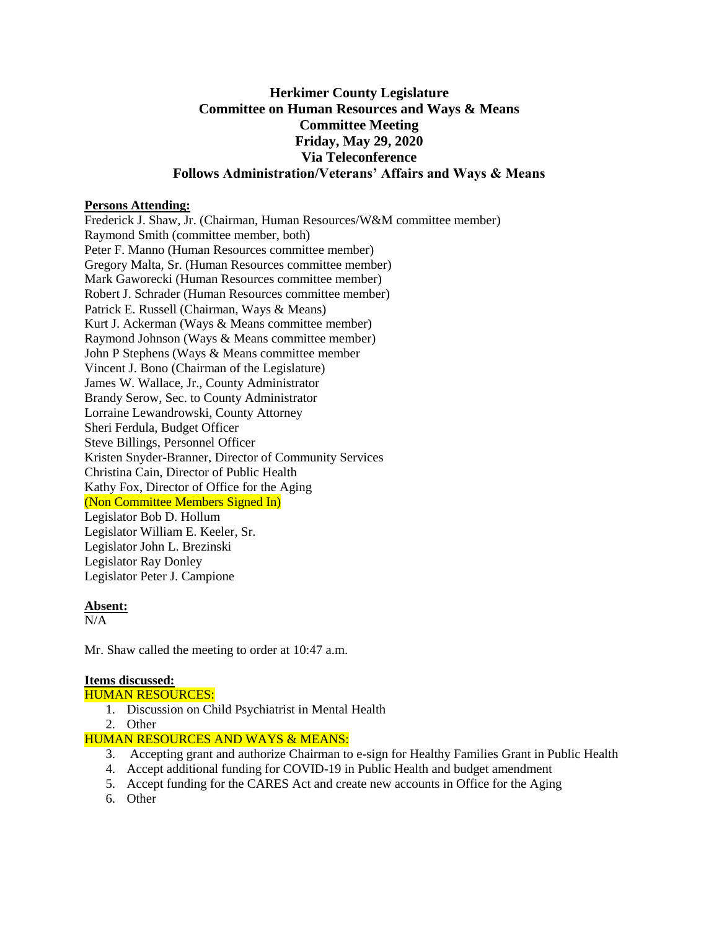## **Herkimer County Legislature Committee on Human Resources and Ways & Means Committee Meeting Friday, May 29, 2020 Via Teleconference Follows Administration/Veterans' Affairs and Ways & Means**

#### **Persons Attending:**

Frederick J. Shaw, Jr. (Chairman, Human Resources/W&M committee member) Raymond Smith (committee member, both) Peter F. Manno (Human Resources committee member) Gregory Malta, Sr. (Human Resources committee member) Mark Gaworecki (Human Resources committee member) Robert J. Schrader (Human Resources committee member) Patrick E. Russell (Chairman, Ways & Means) Kurt J. Ackerman (Ways & Means committee member) Raymond Johnson (Ways & Means committee member) John P Stephens (Ways & Means committee member Vincent J. Bono (Chairman of the Legislature) James W. Wallace, Jr., County Administrator Brandy Serow, Sec. to County Administrator Lorraine Lewandrowski, County Attorney Sheri Ferdula, Budget Officer Steve Billings, Personnel Officer Kristen Snyder-Branner, Director of Community Services Christina Cain, Director of Public Health Kathy Fox, Director of Office for the Aging (Non Committee Members Signed In) Legislator Bob D. Hollum Legislator William E. Keeler, Sr. Legislator John L. Brezinski Legislator Ray Donley Legislator Peter J. Campione

#### **Absent:**

 $N/A$ 

Mr. Shaw called the meeting to order at 10:47 a.m.

## **Items discussed:**

## HUMAN RESOURCES:

- 1. Discussion on Child Psychiatrist in Mental Health
- 2. Other

## HUMAN RESOURCES AND WAYS & MEANS:

- 3. Accepting grant and authorize Chairman to e-sign for Healthy Families Grant in Public Health
- 4. Accept additional funding for COVID-19 in Public Health and budget amendment
- 5. Accept funding for the CARES Act and create new accounts in Office for the Aging
- 6. Other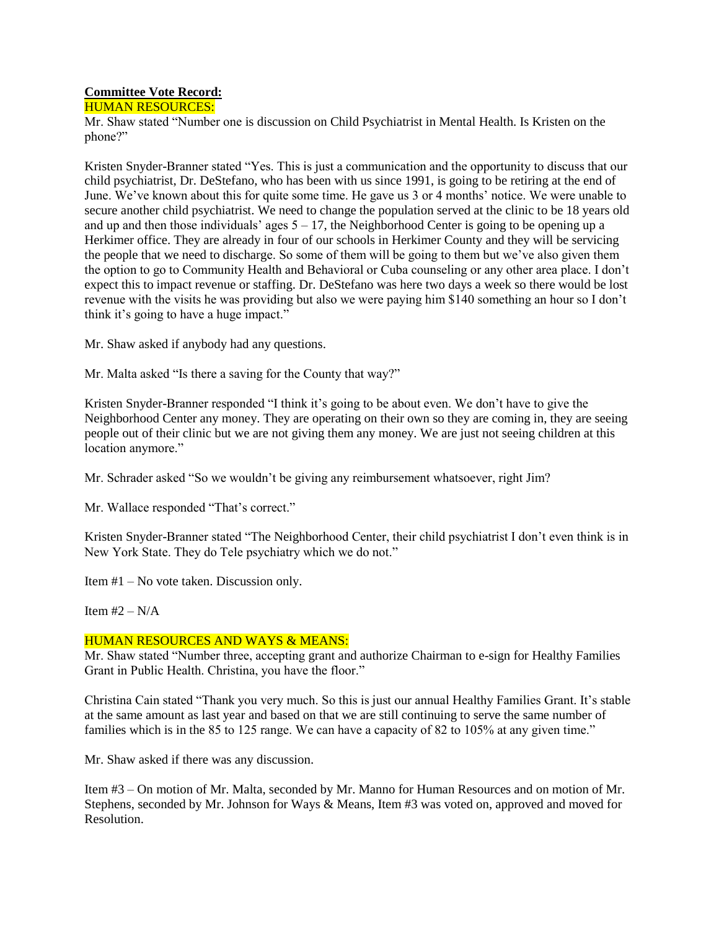# **Committee Vote Record:**

HUMAN RESOURCES:

Mr. Shaw stated "Number one is discussion on Child Psychiatrist in Mental Health. Is Kristen on the phone?"

Kristen Snyder-Branner stated "Yes. This is just a communication and the opportunity to discuss that our child psychiatrist, Dr. DeStefano, who has been with us since 1991, is going to be retiring at the end of June. We've known about this for quite some time. He gave us 3 or 4 months' notice. We were unable to secure another child psychiatrist. We need to change the population served at the clinic to be 18 years old and up and then those individuals' ages  $5 - 17$ , the Neighborhood Center is going to be opening up a Herkimer office. They are already in four of our schools in Herkimer County and they will be servicing the people that we need to discharge. So some of them will be going to them but we've also given them the option to go to Community Health and Behavioral or Cuba counseling or any other area place. I don't expect this to impact revenue or staffing. Dr. DeStefano was here two days a week so there would be lost revenue with the visits he was providing but also we were paying him \$140 something an hour so I don't think it's going to have a huge impact."

Mr. Shaw asked if anybody had any questions.

Mr. Malta asked "Is there a saving for the County that way?"

Kristen Snyder-Branner responded "I think it's going to be about even. We don't have to give the Neighborhood Center any money. They are operating on their own so they are coming in, they are seeing people out of their clinic but we are not giving them any money. We are just not seeing children at this location anymore."

Mr. Schrader asked "So we wouldn't be giving any reimbursement whatsoever, right Jim?

Mr. Wallace responded "That's correct."

Kristen Snyder-Branner stated "The Neighborhood Center, their child psychiatrist I don't even think is in New York State. They do Tele psychiatry which we do not."

Item #1 – No vote taken. Discussion only.

Item  $#2 - N/A$ 

#### HUMAN RESOURCES AND WAYS & MEANS:

Mr. Shaw stated "Number three, accepting grant and authorize Chairman to e-sign for Healthy Families Grant in Public Health. Christina, you have the floor."

Christina Cain stated "Thank you very much. So this is just our annual Healthy Families Grant. It's stable at the same amount as last year and based on that we are still continuing to serve the same number of families which is in the 85 to 125 range. We can have a capacity of 82 to 105% at any given time."

Mr. Shaw asked if there was any discussion.

Item #3 – On motion of Mr. Malta, seconded by Mr. Manno for Human Resources and on motion of Mr. Stephens, seconded by Mr. Johnson for Ways & Means, Item #3 was voted on, approved and moved for Resolution.